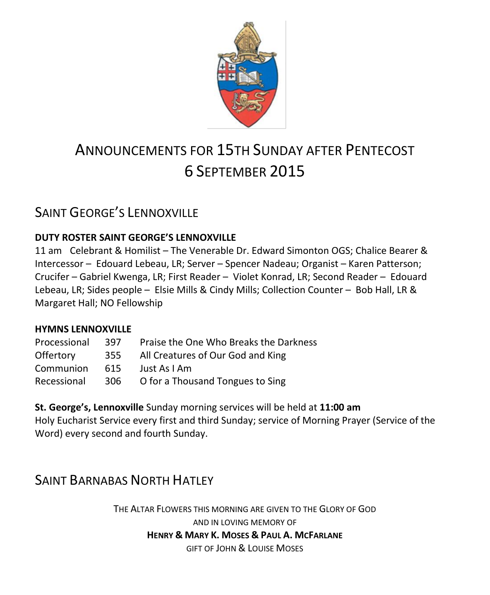

# ANNOUNCEMENTS FOR 15TH SUNDAY AFTER PENTECOST 6 SEPTEMBER 2015

# SAINT GEORGE'S LENNOXVILLE

### **DUTY ROSTER SAINT GEORGE'S LENNOXVILLE**

11 am Celebrant & Homilist – The Venerable Dr. Edward Simonton OGS; Chalice Bearer & Intercessor – Edouard Lebeau, LR; Server – Spencer Nadeau; Organist – Karen Patterson; Crucifer – Gabriel Kwenga, LR; First Reader – Violet Konrad, LR; Second Reader – Edouard Lebeau, LR; Sides people – Elsie Mills & Cindy Mills; Collection Counter – Bob Hall, LR & Margaret Hall; NO Fellowship

### **HYMNS LENNOXVILLE**

| Processional     | 397  | Praise the One Who Breaks the Darkness |  |
|------------------|------|----------------------------------------|--|
| <b>Offertory</b> | 355  | All Creatures of Our God and King      |  |
| Communion        | 615. | Just As I Am                           |  |
| Recessional      | 306  | O for a Thousand Tongues to Sing       |  |

**St. George's, Lennoxville** Sunday morning services will be held at **11:00 am** Holy Eucharist Service every first and third Sunday; service of Morning Prayer (Service of the Word) every second and fourth Sunday.

# SAINT BARNABAS NORTH HATLEY

THE ALTAR FLOWERS THIS MORNING ARE GIVEN TO THE GLORY OF GOD AND IN LOVING MEMORY OF **HENRY & MARY K. MOSES & PAUL A. MCFARLANE** GIFT OF JOHN & LOUISE MOSES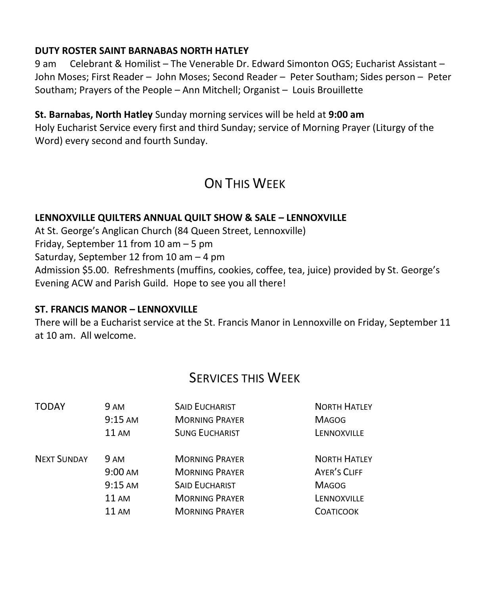### **DUTY ROSTER SAINT BARNABAS NORTH HATLEY**

9 am Celebrant & Homilist – The Venerable Dr. Edward Simonton OGS; Eucharist Assistant – John Moses; First Reader – John Moses; Second Reader – Peter Southam; Sides person – Peter Southam; Prayers of the People – Ann Mitchell; Organist – Louis Brouillette

### **St. Barnabas, North Hatley** Sunday morning services will be held at **9:00 am**

Holy Eucharist Service every first and third Sunday; service of Morning Prayer (Liturgy of the Word) every second and fourth Sunday.

# ON THIS WFFK

### **LENNOXVILLE QUILTERS ANNUAL QUILT SHOW & SALE – LENNOXVILLE**

At St. George's Anglican Church (84 Queen Street, Lennoxville)

Friday, September 11 from 10 am – 5 pm

Saturday, September 12 from 10 am – 4 pm

Admission \$5.00. Refreshments (muffins, cookies, coffee, tea, juice) provided by St. George's Evening ACW and Parish Guild. Hope to see you all there!

#### **ST. FRANCIS MANOR – LENNOXVILLE**

There will be a Eucharist service at the St. Francis Manor in Lennoxville on Friday, September 11 at 10 am. All welcome.

### SERVICES THIS WEEK

| <b>TODAY</b>       | 9 AM              | <b>SAID EUCHARIST</b> | <b>NORTH HATLEY</b> |
|--------------------|-------------------|-----------------------|---------------------|
|                    | 9:15 AM           | <b>MORNING PRAYER</b> | <b>MAGOG</b>        |
|                    | 11 AM             | <b>SUNG EUCHARIST</b> | LENNOXVILLE         |
| <b>NEXT SUNDAY</b> | 9 AM              | <b>MORNING PRAYER</b> | <b>NORTH HATLEY</b> |
|                    | $9:00 \text{ AM}$ | <b>MORNING PRAYER</b> | AYER'S CLIFF        |
|                    | $9:15$ AM         | <b>SAID EUCHARIST</b> | <b>MAGOG</b>        |
|                    | <b>11 AM</b>      | <b>MORNING PRAYER</b> | LENNOXVILLE         |
|                    | 11 AM             | <b>MORNING PRAYER</b> | <b>COATICOOK</b>    |
|                    |                   |                       |                     |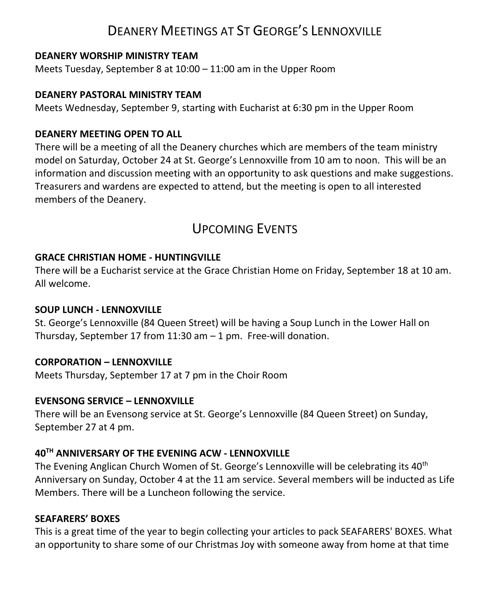# DEANERY MEETINGS AT ST GEORGE'S LENNOXVILLE

#### **DEANERY WORSHIP MINISTRY TEAM**

Meets Tuesday, September 8 at 10:00 – 11:00 am in the Upper Room

#### **DEANERY PASTORAL MINISTRY TEAM**

Meets Wednesday, September 9, starting with Eucharist at 6:30 pm in the Upper Room

#### **DEANERY MEETING OPEN TO ALL**

There will be a meeting of all the Deanery churches which are members of the team ministry model on Saturday, October 24 at St. George's Lennoxville from 10 am to noon. This will be an information and discussion meeting with an opportunity to ask questions and make suggestions. Treasurers and wardens are expected to attend, but the meeting is open to all interested members of the Deanery.

# UPCOMING EVENTS

#### **GRACE CHRISTIAN HOME - HUNTINGVILLE**

There will be a Eucharist service at the Grace Christian Home on Friday, September 18 at 10 am. All welcome.

#### **SOUP LUNCH - LENNOXVILLE**

St. George's Lennoxville (84 Queen Street) will be having a Soup Lunch in the Lower Hall on Thursday, September 17 from 11:30 am  $-1$  pm. Free-will donation.

#### **CORPORATION – LENNOXVILLE**

Meets Thursday, September 17 at 7 pm in the Choir Room

#### **EVENSONG SERVICE – LENNOXVILLE**

There will be an Evensong service at St. George's Lennoxville (84 Queen Street) on Sunday, September 27 at 4 pm.

#### **40TH ANNIVERSARY OF THE EVENING ACW - LENNOXVILLE**

The Evening Anglican Church Women of St. George's Lennoxville will be celebrating its 40th Anniversary on Sunday, October 4 at the 11 am service. Several members will be inducted as Life Members. There will be a Luncheon following the service.

#### **SEAFARERS' BOXES**

This is a great time of the year to begin collecting your articles to pack SEAFARERS' BOXES. What an opportunity to share some of our Christmas Joy with someone away from home at that time